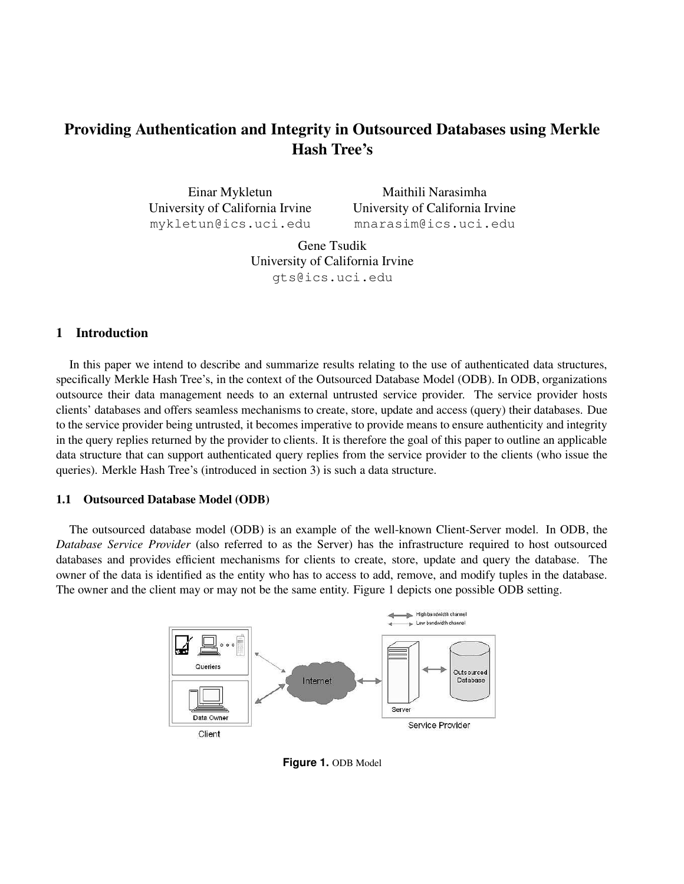# **Providing Authentication and Integrity in Outsourced Databases using Merkle Hash Tree's**

Einar Mykletun University of California Irvine mykletun@ics.uci.edu

Maithili Narasimha University of California Irvine mnarasim@ics.uci.edu

Gene Tsudik University of California Irvine gts@ics.uci.edu

## **1 Introduction**

In this paper we intend to describe and summarize results relating to the use of authenticated data structures, specifically Merkle Hash Tree's, in the context of the Outsourced Database Model (ODB). In ODB, organizations outsource their data management needs to an external untrusted service provider. The service provider hosts clients' databases and offers seamless mechanisms to create, store, update and access (query) their databases. Due to the service provider being untrusted, it becomes imperative to provide means to ensure authenticity and integrity in the query replies returned by the provider to clients. It is therefore the goal of this paper to outline an applicable data structure that can support authenticated query replies from the service provider to the clients (who issue the queries). Merkle Hash Tree's (introduced in section 3) is such a data structure.

#### **1.1 Outsourced Database Model (ODB)**

The outsourced database model (ODB) is an example of the well-known Client-Server model. In ODB, the *Database Service Provider* (also referred to as the Server) has the infrastructure required to host outsourced databases and provides efficient mechanisms for clients to create, store, update and query the database. The owner of the data is identified as the entity who has to access to add, remove, and modify tuples in the database. The owner and the client may or may not be the same entity. Figure 1 depicts one possible ODB setting.



**Figure 1.** ODB Model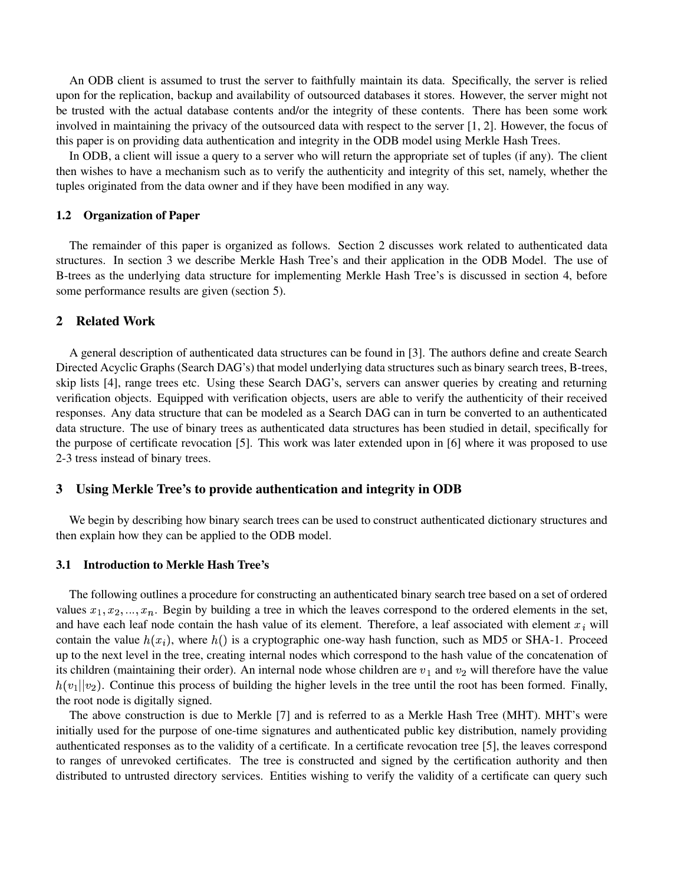An ODB client is assumed to trust the server to faithfully maintain its data. Specifically, the server is relied upon for the replication, backup and availability of outsourced databases it stores. However, the server might not be trusted with the actual database contents and/or the integrity of these contents. There has been some work involved in maintaining the privacy of the outsourced data with respect to the server [1, 2]. However, the focus of this paper is on providing data authentication and integrity in the ODB model using Merkle Hash Trees.

In ODB, a client will issue a query to a server who will return the appropriate set of tuples (if any). The client then wishes to have a mechanism such as to verify the authenticity and integrity of this set, namely, whether the tuples originated from the data owner and if they have been modified in any way.

#### **1.2 Organization of Paper**

The remainder of this paper is organized as follows. Section 2 discusses work related to authenticated data structures. In section 3 we describe Merkle Hash Tree's and their application in the ODB Model. The use of B-trees as the underlying data structure for implementing Merkle Hash Tree's is discussed in section 4, before some performance results are given (section 5).

#### **2 Related Work**

A general description of authenticated data structures can be found in [3]. The authors define and create Search Directed Acyclic Graphs (Search DAG's) that model underlying data structures such as binary search trees, B-trees, skip lists [4], range trees etc. Using these Search DAG's, servers can answer queries by creating and returning verification objects. Equipped with verification objects, users are able to verify the authenticity of their received responses. Any data structure that can be modeled as a Search DAG can in turn be converted to an authenticated data structure. The use of binary trees as authenticated data structures has been studied in detail, specifically for the purpose of certificate revocation [5]. This work was later extended upon in [6] where it was proposed to use 2-3 tress instead of binary trees.

### **3 Using Merkle Tree's to provide authentication and integrity in ODB**

We begin by describing how binary search trees can be used to construct authenticated dictionary structures and then explain how they can be applied to the ODB model.

#### **3.1 Introduction to Merkle Hash Tree's**

The following outlines a procedure for constructing an authenticated binary search tree based on a set of ordered values  $x_1, x_2, ..., x_n$ . Begin by building a tree in which the leaves correspond to the ordered elements in the set, and have each leaf node contain the hash value of its element. Therefore, a leaf associated with element  $x_i$  will contain the value  $h(x_i)$ , where  $h()$  is a cryptographic one-way hash function, such as MD5 or SHA-1. Proceed up to the next level in the tree, creating internal nodes which correspond to the hash value of the concatenation of its children (maintaining their order). An internal node whose children are  $v_1$  and  $v_2$  will therefore have the value  $h(v_1||v_2)$ . Continue this process of building the higher levels in the tree until the root has been formed. Finally, the root node is digitally signed.

The above construction is due to Merkle [7] and is referred to as a Merkle Hash Tree (MHT). MHT's were initially used for the purpose of one-time signatures and authenticated public key distribution, namely providing authenticated responses as to the validity of a certificate. In a certificate revocation tree [5], the leaves correspond to ranges of unrevoked certificates. The tree is constructed and signed by the certification authority and then distributed to untrusted directory services. Entities wishing to verify the validity of a certificate can query such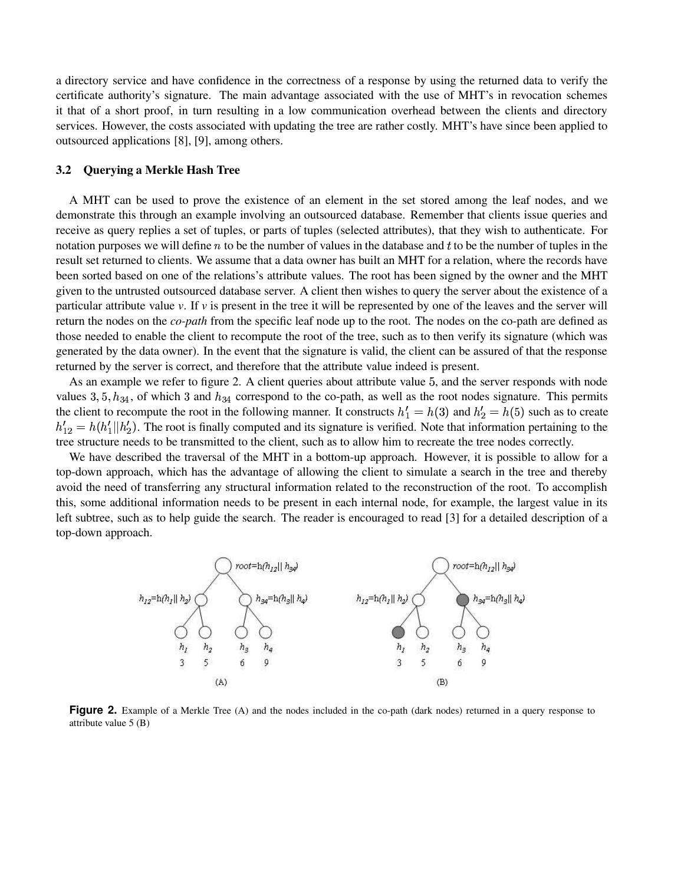a directory service and have confidence in the correctness of a response by using the returned data to verify the certificate authority's signature. The main advantage associated with the use of MHT's in revocation schemes it that of a short proof, in turn resulting in a low communication overhead between the clients and directory services. However, the costs associated with updating the tree are rather costly. MHT's have since been applied to outsourced applications [8], [9], among others.

#### **3.2 Querying a Merkle Hash Tree**

A MHT can be used to prove the existence of an element in the set stored among the leaf nodes, and we demonstrate this through an example involving an outsourced database. Remember that clients issue queries and receive as query replies a set of tuples, or parts of tuples (selected attributes), that they wish to authenticate. For notation purposes we will define  $n$  to be the number of values in the database and  $t$  to be the number of tuples in the result set returned to clients. We assume that a data owner has built an MHT for a relation, where the records have been sorted based on one of the relations's attribute values. The root has been signed by the owner and the MHT given to the untrusted outsourced database server. A client then wishes to query the server about the existence of a particular attribute value  $\nu$ . If  $\nu$  is present in the tree it will be represented by one of the leaves and the server will return the nodes on the *co-path* from the specific leaf node up to the root. The nodes on the co-path are defined as those needed to enable the client to recompute the root of the tree, such as to then verify its signature (which was generated by the data owner). In the event that the signature is valid, the client can be assured of that the response returned by the server is correct, and therefore that the attribute value indeed is present.

As an example we refer to figure 2. A client queries about attribute value 5, and the server responds with node values 3,  $5, h_{34}$ , of which 3 and  $h_{34}$  correspond to the co-path, as well as the root nodes signature. This permits the client to recompute the root in the following manner. It constructs  $h'_1 = h(3)$  and  $h'_2 = h(5)$  such as to create  $h'_{12} = h(h'_1||h'_2)$ . The root is finally computed and its signature is verified. Note that information pertaining to the tree structure needs to be transmitted to the client, such as to allow him to recreate the tree nodes correctly.

We have described the traversal of the MHT in a bottom-up approach. However, it is possible to allow for a top-down approach, which has the advantage of allowing the client to simulate a search in the tree and thereby avoid the need of transferring any structural information related to the reconstruction of the root. To accomplish this, some additional information needs to be present in each internal node, for example, the largest value in its left subtree, such as to help guide the search. The reader is encouraged to read [3] for a detailed description of a top-down approach.



**Figure 2.** Example of a Merkle Tree (A) and the nodes included in the co-path (dark nodes) returned in a query response to attribute value 5 (B)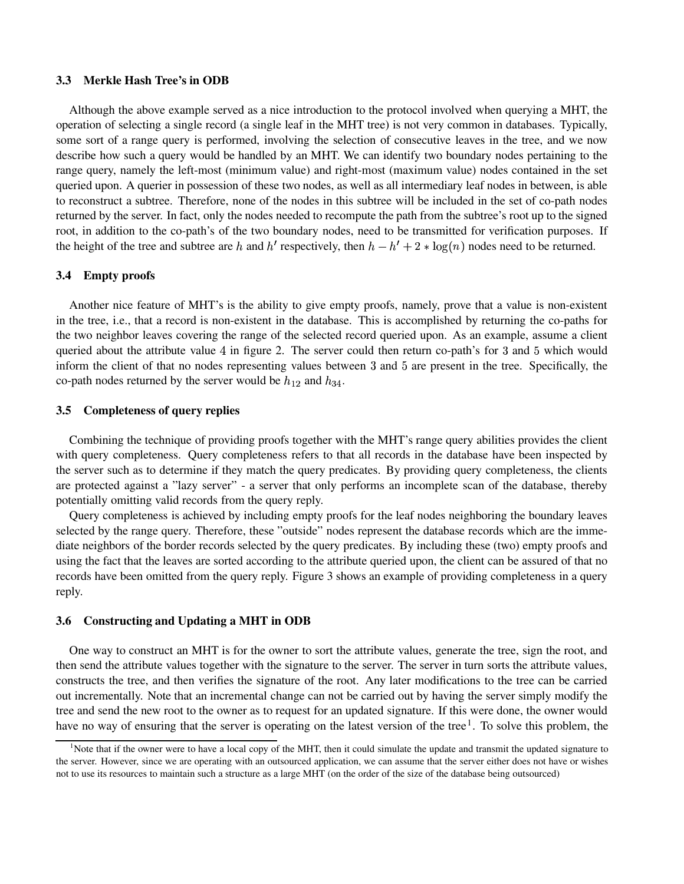#### **3.3 Merkle Hash Tree's in ODB**

Although the above example served as a nice introduction to the protocol involved when querying a MHT, the operation of selecting a single record (a single leaf in the MHT tree) is not very common in databases. Typically, some sort of a range query is performed, involving the selection of consecutive leaves in the tree, and we now describe how such a query would be handled by an MHT. We can identify two boundary nodes pertaining to the range query, namely the left-most (minimum value) and right-most (maximum value) nodes contained in the set queried upon. A querier in possession of these two nodes, as well as all intermediary leaf nodes in between, is able to reconstruct a subtree. Therefore, none of the nodes in this subtree will be included in the set of co-path nodes returned by the server. In fact, only the nodes needed to recompute the path from the subtree's root up to the signed root, in addition to the co-path's of the two boundary nodes, need to be transmitted for verification purposes. If the height of the tree and subtree are h and h' respectively, then  $h - h' + 2 * \log(n)$  nodes need to be returned.

### **3.4 Empty proofs**

Another nice feature of MHT's is the ability to give empty proofs, namely, prove that a value is non-existent in the tree, i.e., that a record is non-existent in the database. This is accomplished by returning the co-paths for the two neighbor leaves covering the range of the selected record queried upon. As an example, assume a client queried about the attribute value  $4$  in figure 2. The server could then return co-path's for  $3$  and  $5$  which would inform the client of that no nodes representing values between 3 and 5 are present in the tree. Specifically, the co-path nodes returned by the server would be  $h_{12}$  and  $h_{34}$ .

### **3.5 Completeness of query replies**

Combining the technique of providing proofs together with the MHT's range query abilities provides the client with query completeness. Query completeness refers to that all records in the database have been inspected by the server such as to determine if they match the query predicates. By providing query completeness, the clients are protected against a "lazy server" - a server that only performs an incomplete scan of the database, thereby potentially omitting valid records from the query reply.

Query completeness is achieved by including empty proofs for the leaf nodes neighboring the boundary leaves selected by the range query. Therefore, these "outside" nodes represent the database records which are the immediate neighbors of the border records selected by the query predicates. By including these (two) empty proofs and using the fact that the leaves are sorted according to the attribute queried upon, the client can be assured of that no records have been omitted from the query reply. Figure 3 shows an example of providing completeness in a query reply.

## **3.6 Constructing and Updating a MHT in ODB**

One way to construct an MHT is for the owner to sort the attribute values, generate the tree, sign the root, and then send the attribute values together with the signature to the server. The server in turn sorts the attribute values, constructs the tree, and then verifies the signature of the root. Any later modifications to the tree can be carried out incrementally. Note that an incremental change can not be carried out by having the server simply modify the tree and send the new root to the owner as to request for an updated signature. If this were done, the owner would have no way of ensuring that the server is operating on the latest version of the tree<sup>1</sup>. To solve this problem, the

<sup>&</sup>lt;sup>1</sup>Note that if the owner were to have a local copy of the MHT, then it could simulate the update and transmit the updated signature to the server. However, since we are operating with an outsourced application, we can assume that the server either does not have or wishes not to use its resources to maintain such a structure as a large MHT (on the order of the size of the database being outsourced)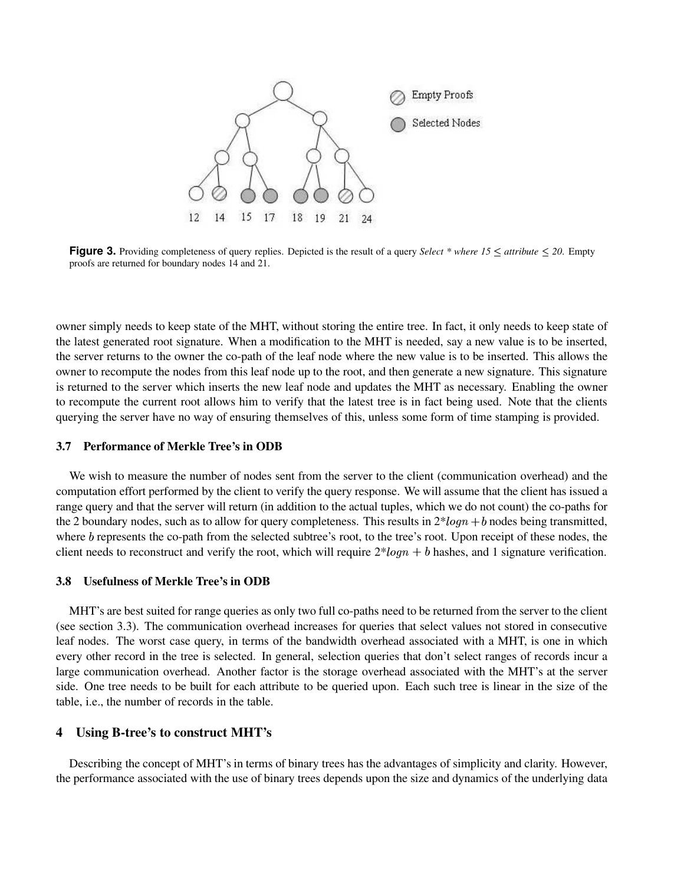

**Figure 3.** Providing completeness of query replies. Depicted is the result of a query *Select* \* *where*  $15 \leq$  *attribute*  $\leq$  20. Empty proofs are returned for boundary nodes 14 and 21.

owner simply needs to keep state of the MHT, without storing the entire tree. In fact, it only needs to keep state of the latest generated root signature. When a modification to the MHT is needed, say a new value is to be inserted, the server returns to the owner the co-path of the leaf node where the new value is to be inserted. This allows the owner to recompute the nodes from this leaf node up to the root, and then generate a new signature. This signature is returned to the server which inserts the new leaf node and updates the MHT as necessary. Enabling the owner to recompute the current root allows him to verify that the latest tree is in fact being used. Note that the clients querying the server have no way of ensuring themselves of this, unless some form of time stamping is provided.

#### **3.7 Performance of Merkle Tree's in ODB**

We wish to measure the number of nodes sent from the server to the client (communication overhead) and the computation effort performed by the client to verify the query response. We will assume that the client has issued a range query and that the server will return (in addition to the actual tuples, which we do not count) the co-paths for the 2 boundary nodes, such as to allow for query completeness. This results in  $2*log n + b$  nodes being transmitted, where b represents the co-path from the selected subtree's root, to the tree's root. Upon receipt of these nodes, the client needs to reconstruct and verify the root, which will require  $2*log n + b$  hashes, and 1 signature verification.

#### **3.8 Usefulness of Merkle Tree's in ODB**

MHT's are best suited for range queries as only two full co-paths need to be returned from the server to the client (see section 3.3). The communication overhead increases for queries that select values not stored in consecutive leaf nodes. The worst case query, in terms of the bandwidth overhead associated with a MHT, is one in which every other record in the tree is selected. In general, selection queries that don't select ranges of records incur a large communication overhead. Another factor is the storage overhead associated with the MHT's at the server side. One tree needs to be built for each attribute to be queried upon. Each such tree is linear in the size of the table, i.e., the number of records in the table.

## **4 Using B-tree's to construct MHT's**

Describing the concept of MHT's in terms of binary trees has the advantages of simplicity and clarity. However, the performance associated with the use of binary trees depends upon the size and dynamics of the underlying data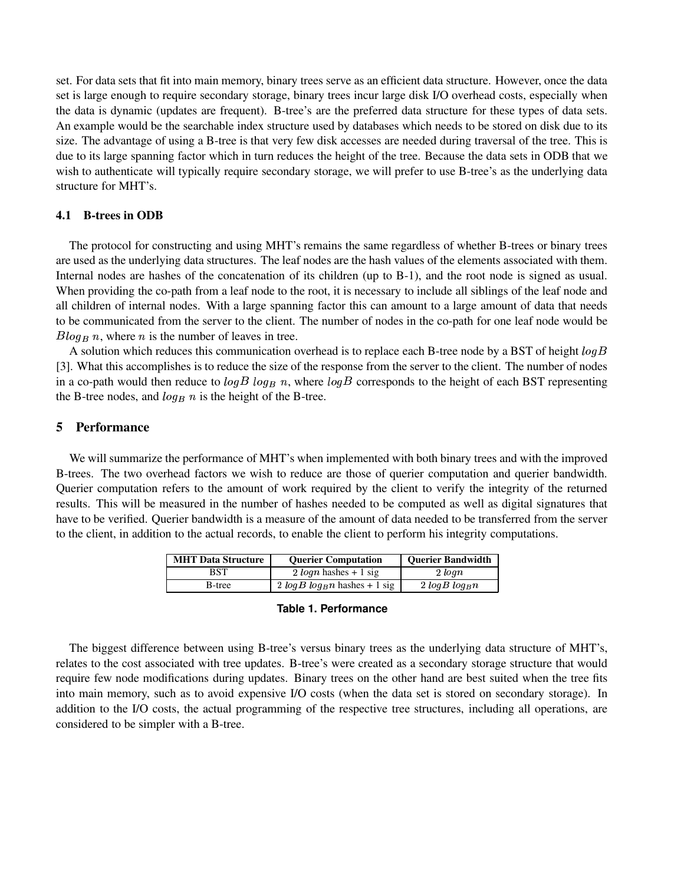set. For data sets that fit into main memory, binary trees serve as an efficient data structure. However, once the data set is large enough to require secondary storage, binary trees incur large disk I/O overhead costs, especially when the data is dynamic (updates are frequent). B-tree's are the preferred data structure for these types of data sets. An example would be the searchable index structure used by databases which needs to be stored on disk due to its size. The advantage of using a B-tree is that very few disk accesses are needed during traversal of the tree. This is due to its large spanning factor which in turn reduces the height of the tree. Because the data sets in ODB that we wish to authenticate will typically require secondary storage, we will prefer to use B-tree's as the underlying data structure for MHT's.

### **4.1 B-trees in ODB**

The protocol for constructing and using MHT's remains the same regardless of whether B-trees or binary trees are used as the underlying data structures. The leaf nodes are the hash values of the elements associated with them. Internal nodes are hashes of the concatenation of its children (up to B-1), and the root node is signed as usual. When providing the co-path from a leaf node to the root, it is necessary to include all siblings of the leaf node and all children of internal nodes. With a large spanning factor this can amount to a large amount of data that needs to be communicated from the server to the client. The number of nodes in the co-path for one leaf node would be  $Blog_B n$ , where *n* is the number of leaves in tree.

A solution which reduces this communication overhead is to replace each B-tree node by a BST of height  $log B$ [3]. What this accomplishes is to reduce the size of the response from the server to the client. The number of nodes in a co-path would then reduce to  $log B log_B n$ , where  $log B$  corresponds to the height of each BST representing the B-tree nodes, and  $log_B n$  is the height of the B-tree.

### **5 Performance**

We will summarize the performance of MHT's when implemented with both binary trees and with the improved B-trees. The two overhead factors we wish to reduce are those of querier computation and querier bandwidth. Querier computation refers to the amount of work required by the client to verify the integrity of the returned results. This will be measured in the number of hashes needed to be computed as well as digital signatures that have to be verified. Querier bandwidth is a measure of the amount of data needed to be transferred from the server to the client, in addition to the actual records, to enable the client to perform his integrity computations.

| <b>MHT Data Structure</b> | <b>Ouerier Computation</b>       | <b>Ouerier Bandwidth</b> |
|---------------------------|----------------------------------|--------------------------|
| BST                       | 2 $\log n$ hashes + 1 sig        | $2 \ log n$              |
| B-tree                    | $2 log B log_B n$ hashes + 1 sig | $2 log B log_B n$        |

**Table 1. Performance**

The biggest difference between using B-tree's versus binary trees as the underlying data structure of MHT's, relates to the cost associated with tree updates. B-tree's were created as a secondary storage structure that would require few node modifications during updates. Binary trees on the other hand are best suited when the tree fits into main memory, such as to avoid expensive I/O costs (when the data set is stored on secondary storage). In addition to the I/O costs, the actual programming of the respective tree structures, including all operations, are considered to be simpler with a B-tree.